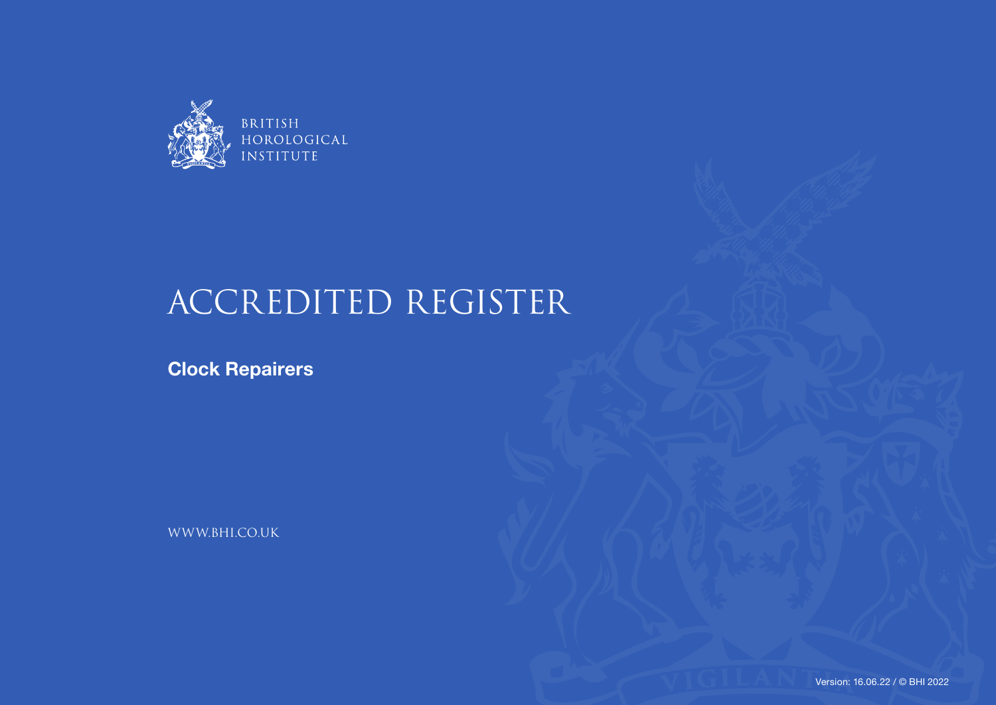

## ACCREDITED REGISTER

**Clock Repairers**

WWW.BHI.CO.UK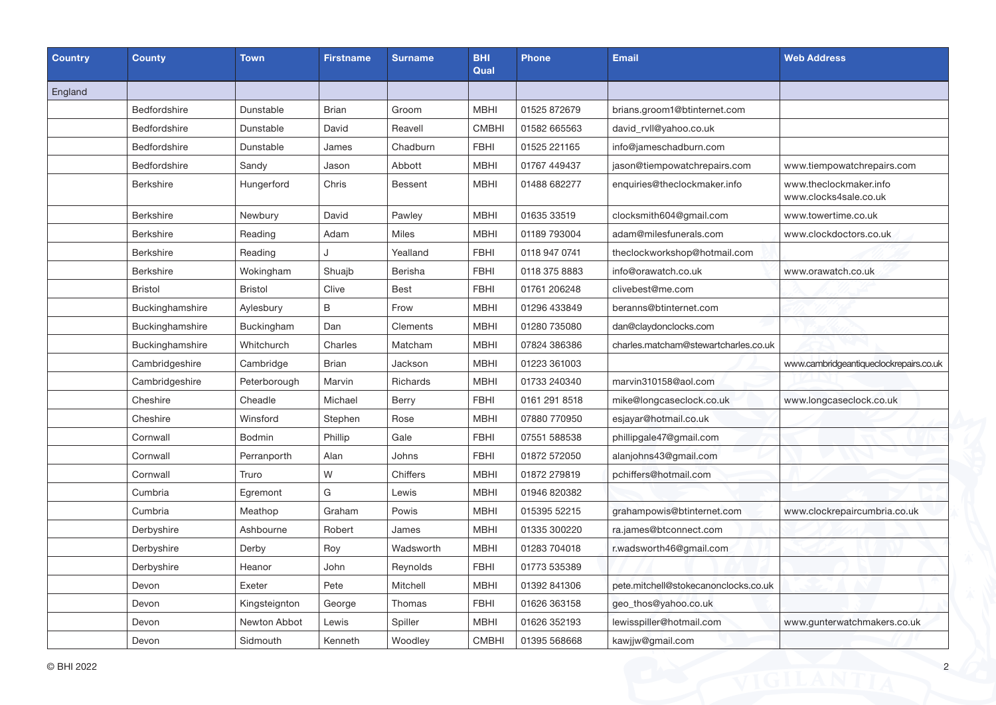| <b>Country</b> | <b>County</b>    | <b>Town</b>    | <b>Firstname</b> | <b>Surname</b> | <b>BHI</b><br>Qual | <b>Phone</b>  | <b>Email</b>                         | <b>Web Address</b>                              |
|----------------|------------------|----------------|------------------|----------------|--------------------|---------------|--------------------------------------|-------------------------------------------------|
| England        |                  |                |                  |                |                    |               |                                      |                                                 |
|                | Bedfordshire     | Dunstable      | <b>Brian</b>     | Groom          | <b>MBHI</b>        | 01525 872679  | brians.groom1@btinternet.com         |                                                 |
|                | Bedfordshire     | Dunstable      | David            | Reavell        | <b>CMBHI</b>       | 01582 665563  | david_rvll@yahoo.co.uk               |                                                 |
|                | Bedfordshire     | Dunstable      | James            | Chadburn       | <b>FBHI</b>        | 01525 221165  | info@jameschadburn.com               |                                                 |
|                | Bedfordshire     | Sandy          | Jason            | Abbott         | <b>MBHI</b>        | 01767 449437  | jason@tiempowatchrepairs.com         | www.tiempowatchrepairs.com                      |
|                | <b>Berkshire</b> | Hungerford     | Chris            | Bessent        | <b>MBHI</b>        | 01488 682277  | enquiries@theclockmaker.info         | www.theclockmaker.info<br>www.clocks4sale.co.uk |
|                | <b>Berkshire</b> | Newbury        | David            | Pawley         | <b>MBHI</b>        | 01635 33519   | clocksmith604@gmail.com              | www.towertime.co.uk                             |
|                | <b>Berkshire</b> | Reading        | Adam             | <b>Miles</b>   | <b>MBHI</b>        | 01189 793004  | adam@milesfunerals.com               | www.clockdoctors.co.uk                          |
|                | <b>Berkshire</b> | Reading        | ۱.               | Yealland       | <b>FBHI</b>        | 0118 947 0741 | theclockworkshop@hotmail.com         |                                                 |
|                | Berkshire        | Wokingham      | Shuajb           | Berisha        | <b>FBHI</b>        | 0118 375 8883 | info@orawatch.co.uk                  | www.orawatch.co.uk                              |
|                | Bristol          | <b>Bristol</b> | Clive            | <b>Best</b>    | <b>FBHI</b>        | 01761 206248  | clivebest@me.com                     |                                                 |
|                | Buckinghamshire  | Aylesbury      | B                | Frow           | <b>MBHI</b>        | 01296 433849  | beranns@btinternet.com               |                                                 |
|                | Buckinghamshire  | Buckingham     | Dan              | Clements       | <b>MBHI</b>        | 01280 735080  | dan@claydonclocks.com                |                                                 |
|                | Buckinghamshire  | Whitchurch     | Charles          | Matcham        | <b>MBHI</b>        | 07824 386386  | charles.matcham@stewartcharles.co.uk |                                                 |
|                | Cambridgeshire   | Cambridge      | <b>Brian</b>     | Jackson        | <b>MBHI</b>        | 01223 361003  |                                      | www.cambridgeantiqueclockrepairs.co.uk          |
|                | Cambridgeshire   | Peterborough   | Marvin           | Richards       | <b>MBHI</b>        | 01733 240340  | marvin310158@aol.com                 |                                                 |
|                | Cheshire         | Cheadle        | Michael          | <b>Berry</b>   | <b>FBHI</b>        | 0161 291 8518 | mike@longcaseclock.co.uk             | www.longcaseclock.co.uk                         |
|                | Cheshire         | Winsford       | Stephen          | Rose           | <b>MBHI</b>        | 07880 770950  | esjayar@hotmail.co.uk                |                                                 |
|                | Cornwall         | <b>Bodmin</b>  | Phillip          | Gale           | <b>FBHI</b>        | 07551 588538  | phillipgale47@gmail.com              |                                                 |
|                | Cornwall         | Perranporth    | Alan             | Johns          | <b>FBHI</b>        | 01872 572050  | alanjohns43@gmail.com                |                                                 |
|                | Cornwall         | Truro          | W                | Chiffers       | <b>MBHI</b>        | 01872 279819  | pchiffers@hotmail.com                |                                                 |
|                | Cumbria          | Egremont       | G                | Lewis          | <b>MBHI</b>        | 01946 820382  |                                      |                                                 |
|                | Cumbria          | Meathop        | Graham           | Powis          | <b>MBHI</b>        | 015395 52215  | grahampowis@btinternet.com           | www.clockrepaircumbria.co.uk                    |
|                | Derbyshire       | Ashbourne      | Robert           | James          | <b>MBHI</b>        | 01335 300220  | ra.james@btconnect.com               |                                                 |
|                | Derbyshire       | Derby          | Roy              | Wadsworth      | <b>MBHI</b>        | 01283 704018  | r.wadsworth46@gmail.com              |                                                 |
|                | Derbyshire       | Heanor         | John             | Reynolds       | <b>FBHI</b>        | 01773 535389  |                                      |                                                 |
|                | Devon            | Exeter         | Pete             | Mitchell       | <b>MBHI</b>        | 01392 841306  | pete.mitchell@stokecanonclocks.co.uk |                                                 |
|                | Devon            | Kingsteignton  | George           | Thomas         | <b>FBHI</b>        | 01626 363158  | geo_thos@yahoo.co.uk                 |                                                 |
|                | Devon            | Newton Abbot   | Lewis            | Spiller        | <b>MBHI</b>        | 01626 352193  | lewisspiller@hotmail.com             | www.gunterwatchmakers.co.uk                     |
|                | Devon            | Sidmouth       | Kenneth          | Woodley        | <b>CMBHI</b>       | 01395 568668  | kawjjw@gmail.com                     |                                                 |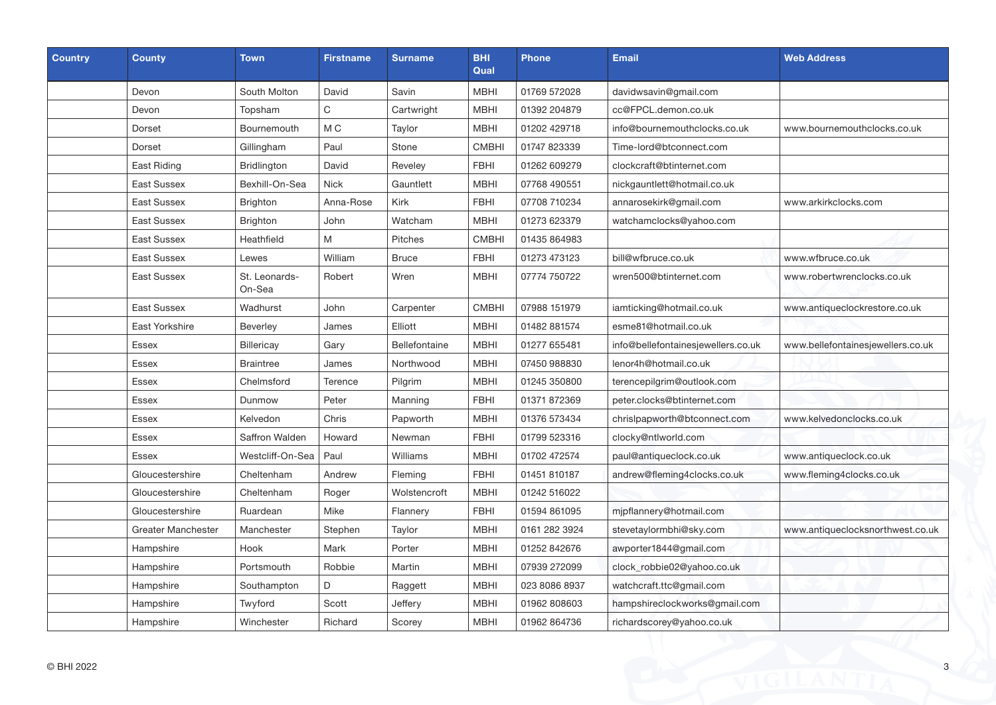| <b>Country</b> | <b>County</b>      | <b>Town</b>             | <b>Firstname</b> | <b>Surname</b> | <b>BHI</b><br>Qual | <b>Phone</b>  | <b>Email</b>                       | <b>Web Address</b>                |
|----------------|--------------------|-------------------------|------------------|----------------|--------------------|---------------|------------------------------------|-----------------------------------|
|                | Devon              | South Molton            | David            | Savin          | <b>MBHI</b>        | 01769 572028  | davidwsavin@gmail.com              |                                   |
|                | Devon              | Topsham                 | C                | Cartwright     | <b>MBHI</b>        | 01392 204879  | cc@FPCL.demon.co.uk                |                                   |
|                | Dorset             | Bournemouth             | M <sub>C</sub>   | Taylor         | <b>MBHI</b>        | 01202 429718  | info@bournemouthclocks.co.uk       | www.bournemouthclocks.co.uk       |
|                | Dorset             | Gillingham              | Paul             | Stone          | <b>CMBHI</b>       | 01747 823339  | Time-lord@btconnect.com            |                                   |
|                | East Riding        | <b>Bridlington</b>      | David            | Reveley        | <b>FBHI</b>        | 01262 609279  | clockcraft@btinternet.com          |                                   |
|                | <b>East Sussex</b> | Bexhill-On-Sea          | <b>Nick</b>      | Gauntlett      | <b>MBHI</b>        | 07768 490551  | nickgauntlett@hotmail.co.uk        |                                   |
|                | East Sussex        | <b>Brighton</b>         | Anna-Rose        | Kirk           | <b>FBHI</b>        | 07708 710234  | annarosekirk@gmail.com             | www.arkirkclocks.com              |
|                | East Sussex        | Brighton                | John             | Watcham        | <b>MBHI</b>        | 01273 623379  | watchamclocks@yahoo.com            |                                   |
|                | East Sussex        | Heathfield              | M                | Pitches        | <b>CMBHI</b>       | 01435 864983  |                                    |                                   |
|                | East Sussex        | Lewes                   | William          | <b>Bruce</b>   | <b>FBHI</b>        | 01273 473123  | bill@wfbruce.co.uk                 | www.wfbruce.co.uk                 |
|                | East Sussex        | St. Leonards-<br>On-Sea | Robert           | Wren           | <b>MBHI</b>        | 07774 750722  | wren500@btinternet.com             | www.robertwrenclocks.co.uk        |
|                | <b>East Sussex</b> | Wadhurst                | John             | Carpenter      | <b>CMBHI</b>       | 07988 151979  | iamticking@hotmail.co.uk           | www.antiqueclockrestore.co.uk     |
|                | East Yorkshire     | <b>Beverley</b>         | James            | Elliott        | <b>MBHI</b>        | 01482 881574  | esme81@hotmail.co.uk               |                                   |
|                | Essex              | <b>Billericay</b>       | Gary             | Bellefontaine  | <b>MBHI</b>        | 01277 655481  | info@bellefontainesjewellers.co.uk | www.bellefontainesjewellers.co.uk |
|                | <b>Essex</b>       | <b>Braintree</b>        | James            | Northwood      | <b>MBHI</b>        | 07450 988830  | lenor4h@hotmail.co.uk              |                                   |
|                | Essex              | Chelmsford              | Terence          | Pilgrim        | <b>MBHI</b>        | 01245 350800  | terencepilgrim@outlook.com         |                                   |
|                | Essex              | Dunmow                  | Peter            | Manning        | <b>FBHI</b>        | 01371 872369  | peter.clocks@btinternet.com        |                                   |
|                | Essex              | Kelvedon                | Chris            | Papworth       | <b>MBHI</b>        | 01376 573434  | chrislpapworth@btconnect.com       | www.kelvedonclocks.co.uk          |
|                | Essex              | Saffron Walden          | Howard           | Newman         | <b>FBHI</b>        | 01799 523316  | clocky@ntlworld.com                |                                   |
|                | Essex              | Westcliff-On-Sea        | Paul             | Williams       | <b>MBHI</b>        | 01702 472574  | paul@antiqueclock.co.uk            | www.antiqueclock.co.uk            |
|                | Gloucestershire    | Cheltenham              | Andrew           | Fleming        | <b>FBHI</b>        | 01451 810187  | andrew@fleming4clocks.co.uk        | www.fleming4clocks.co.uk          |
|                | Gloucestershire    | Cheltenham              | Roger            | Wolstencroft   | <b>MBHI</b>        | 01242 516022  |                                    |                                   |
|                | Gloucestershire    | Ruardean                | Mike             | Flannery       | <b>FBHI</b>        | 01594 861095  | mjpflannery@hotmail.com            |                                   |
|                | Greater Manchester | Manchester              | Stephen          | Taylor         | <b>MBHI</b>        | 0161 282 3924 | stevetaylormbhi@sky.com            | www.antiqueclocksnorthwest.co.uk  |
|                | Hampshire          | Hook                    | Mark             | Porter         | <b>MBHI</b>        | 01252 842676  | awporter1844@gmail.com             |                                   |
|                | Hampshire          | Portsmouth              | Robbie           | Martin         | <b>MBHI</b>        | 07939 272099  | clock_robbie02@yahoo.co.uk         |                                   |
|                | Hampshire          | Southampton             | D                | Raggett        | <b>MBHI</b>        | 023 8086 8937 | watchcraft.ttc@gmail.com           |                                   |
|                | Hampshire          | Twyford                 | Scott            | Jeffery        | <b>MBHI</b>        | 01962 808603  | hampshireclockworks@gmail.com      |                                   |
|                | Hampshire          | Winchester              | Richard          | Scorey         | <b>MBHI</b>        | 01962 864736  | richardscorey@yahoo.co.uk          |                                   |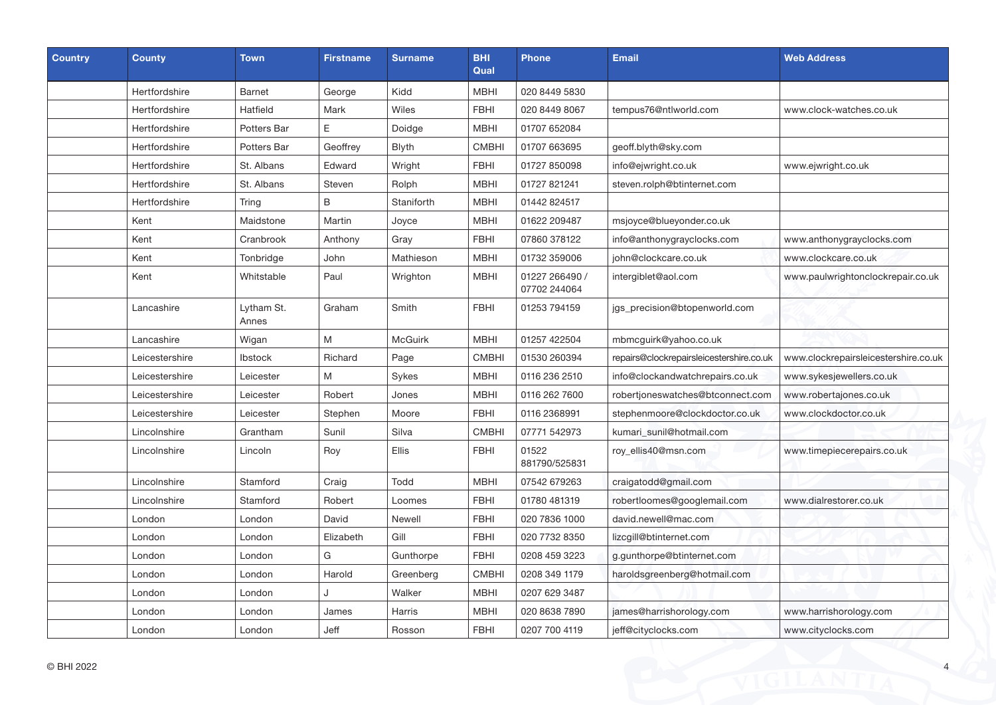| Country | <b>County</b>  | <b>Town</b>         | <b>Firstname</b> | <b>Surname</b> | <b>BHI</b><br>Qual | <b>Phone</b>                   | <b>Email</b>                             | <b>Web Address</b>                   |
|---------|----------------|---------------------|------------------|----------------|--------------------|--------------------------------|------------------------------------------|--------------------------------------|
|         | Hertfordshire  | <b>Barnet</b>       | George           | Kidd           | <b>MBHI</b>        | 020 8449 5830                  |                                          |                                      |
|         | Hertfordshire  | Hatfield            | Mark             | Wiles          | <b>FBHI</b>        | 020 8449 8067                  | tempus76@ntlworld.com                    | www.clock-watches.co.uk              |
|         | Hertfordshire  | Potters Bar         | E                | Doidge         | <b>MBHI</b>        | 01707 652084                   |                                          |                                      |
|         | Hertfordshire  | Potters Bar         | Geoffrey         | Blyth          | <b>CMBHI</b>       | 01707 663695                   | geoff.blyth@sky.com                      |                                      |
|         | Hertfordshire  | St. Albans          | Edward           | Wright         | <b>FBHI</b>        | 01727 850098                   | info@ejwright.co.uk                      | www.ejwright.co.uk                   |
|         | Hertfordshire  | St. Albans          | Steven           | Rolph          | <b>MBHI</b>        | 01727 821241                   | steven.rolph@btinternet.com              |                                      |
|         | Hertfordshire  | Tring               | B                | Staniforth     | MBHI               | 01442 824517                   |                                          |                                      |
|         | Kent           | Maidstone           | Martin           | Joyce          | <b>MBHI</b>        | 01622 209487                   | msjoyce@blueyonder.co.uk                 |                                      |
|         | Kent           | Cranbrook           | Anthony          | Gray           | <b>FBHI</b>        | 07860 378122                   | info@anthonygrayclocks.com               | www.anthonygrayclocks.com            |
|         | Kent           | Tonbridge           | John             | Mathieson      | <b>MBHI</b>        | 01732 359006                   | john@clockcare.co.uk                     | www.clockcare.co.uk                  |
|         | Kent           | Whitstable          | Paul             | Wrighton       | <b>MBHI</b>        | 01227 266490 /<br>07702 244064 | intergiblet@aol.com                      | www.paulwrightonclockrepair.co.uk    |
|         | Lancashire     | Lytham St.<br>Annes | Graham           | Smith          | <b>FBHI</b>        | 01253 794159                   | jgs_precision@btopenworld.com            |                                      |
|         | Lancashire     | Wigan               | M                | <b>McGuirk</b> | <b>MBHI</b>        | 01257 422504                   | mbmcguirk@yahoo.co.uk                    |                                      |
|         | Leicestershire | <b>Ibstock</b>      | Richard          | Page           | <b>CMBHI</b>       | 01530 260394                   | repairs@clockrepairsleicestershire.co.uk | www.clockrepairsleicestershire.co.uk |
|         | Leicestershire | Leicester           | M                | Sykes          | MBHI               | 0116 236 2510                  | info@clockandwatchrepairs.co.uk          | www.sykesjewellers.co.uk             |
|         | Leicestershire | Leicester           | Robert           | Jones          | <b>MBHI</b>        | 0116 262 7600                  | robertjoneswatches@btconnect.com         | www.robertajones.co.uk               |
|         | Leicestershire | Leicester           | Stephen          | Moore          | <b>FBHI</b>        | 0116 2368991                   | stephenmoore@clockdoctor.co.uk           | www.clockdoctor.co.uk                |
|         | Lincolnshire   | Grantham            | Sunil            | Silva          | <b>CMBHI</b>       | 07771 542973                   | kumari sunil@hotmail.com                 |                                      |
|         | Lincolnshire   | Lincoln             | Roy              | <b>Ellis</b>   | <b>FBHI</b>        | 01522<br>881790/525831         | roy_ellis40@msn.com                      | www.timepiecerepairs.co.uk           |
|         | Lincolnshire   | Stamford            | Craig            | Todd           | <b>MBHI</b>        | 07542 679263                   | craigatodd@gmail.com                     |                                      |
|         | Lincolnshire   | Stamford            | Robert           | Loomes         | <b>FBHI</b>        | 01780 481319                   | robertloomes@googlemail.com              | www.dialrestorer.co.uk               |
|         | London         | London              | David            | Newell         | <b>FBHI</b>        | 020 7836 1000                  | david.newell@mac.com                     |                                      |
|         | London         | London              | Elizabeth        | Gill           | <b>FBHI</b>        | 020 7732 8350                  | lizcgill@btinternet.com                  |                                      |
|         | London         | London              | G                | Gunthorpe      | <b>FBHI</b>        | 0208 459 3223                  | g.gunthorpe@btinternet.com               |                                      |
|         | London         | London              | Harold           | Greenberg      | <b>CMBHI</b>       | 0208 349 1179                  | haroldsgreenberg@hotmail.com             |                                      |
|         | London         | London              |                  | Walker         | <b>MBHI</b>        | 0207 629 3487                  |                                          |                                      |
|         | London         | London              | James            | Harris         | <b>MBHI</b>        | 020 8638 7890                  | james@harrishorology.com                 | www.harrishorology.com               |
|         | London         | London              | Jeff             | Rosson         | <b>FBHI</b>        | 0207 700 4119                  | jeff@cityclocks.com                      | www.cityclocks.com                   |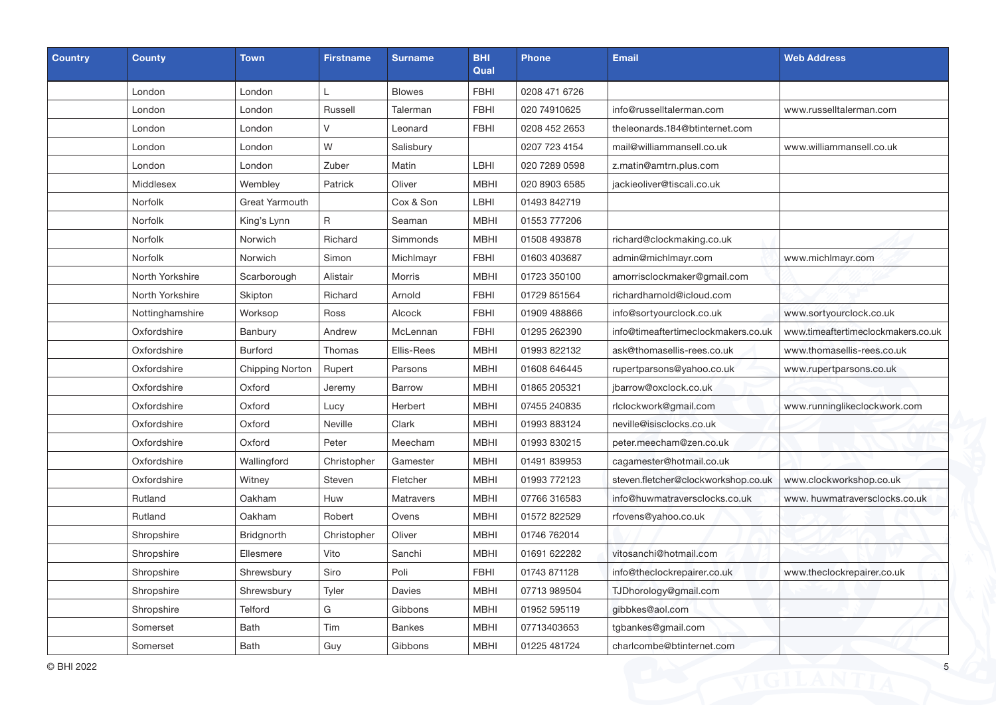| <b>Country</b> | <b>County</b>   | <b>Town</b>            | <b>Firstname</b> | <b>Surname</b>   | <b>BHI</b><br>Qual | <b>Phone</b>  | <b>Email</b>                        | <b>Web Address</b>                 |
|----------------|-----------------|------------------------|------------------|------------------|--------------------|---------------|-------------------------------------|------------------------------------|
|                | London          | London                 | L                | <b>Blowes</b>    | <b>FBHI</b>        | 0208 471 6726 |                                     |                                    |
|                | London          | London                 | Russell          | Talerman         | <b>FBHI</b>        | 020 74910625  | info@russelltalerman.com            | www.russelltalerman.com            |
|                | London          | London                 | $\vee$           | Leonard          | <b>FBHI</b>        | 0208 452 2653 | theleonards.184@btinternet.com      |                                    |
|                | London          | London                 | W                | Salisbury        |                    | 0207 723 4154 | mail@williammansell.co.uk           | www.williammansell.co.uk           |
|                | London          | London                 | Zuber            | Matin            | LBHI               | 020 7289 0598 | z.matin@amtrn.plus.com              |                                    |
|                | Middlesex       | Wembley                | Patrick          | Oliver           | <b>MBHI</b>        | 020 8903 6585 | jackieoliver@tiscali.co.uk          |                                    |
|                | Norfolk         | Great Yarmouth         |                  | Cox & Son        | LBHI               | 01493 842719  |                                     |                                    |
|                | <b>Norfolk</b>  | King's Lynn            | $\mathsf{R}$     | Seaman           | <b>MBHI</b>        | 01553 777206  |                                     |                                    |
|                | <b>Norfolk</b>  | Norwich                | Richard          | Simmonds         | <b>MBHI</b>        | 01508 493878  | richard@clockmaking.co.uk           |                                    |
|                | <b>Norfolk</b>  | Norwich                | Simon            | Michlmayr        | <b>FBHI</b>        | 01603 403687  | admin@michlmayr.com                 | www.michlmayr.com                  |
|                | North Yorkshire | Scarborough            | Alistair         | Morris           | <b>MBHI</b>        | 01723 350100  | amorrisclockmaker@gmail.com         |                                    |
|                | North Yorkshire | Skipton                | Richard          | Arnold           | <b>FBHI</b>        | 01729 851564  | richardharnold@icloud.com           |                                    |
|                | Nottinghamshire | Worksop                | Ross             | Alcock           | <b>FBHI</b>        | 01909 488866  | info@sortyourclock.co.uk            | www.sortyourclock.co.uk            |
|                | Oxfordshire     | Banbury                | Andrew           | McLennan         | <b>FBHI</b>        | 01295 262390  | info@timeaftertimeclockmakers.co.uk | www.timeaftertimeclockmakers.co.uk |
|                | Oxfordshire     | <b>Burford</b>         | Thomas           | Ellis-Rees       | <b>MBHI</b>        | 01993 822132  | ask@thomasellis-rees.co.uk          | www.thomasellis-rees.co.uk         |
|                | Oxfordshire     | <b>Chipping Norton</b> | Rupert           | Parsons          | <b>MBHI</b>        | 01608 646445  | rupertparsons@yahoo.co.uk           | www.rupertparsons.co.uk            |
|                | Oxfordshire     | Oxford                 | Jeremy           | Barrow           | <b>MBHI</b>        | 01865 205321  | jbarrow@oxclock.co.uk               |                                    |
|                | Oxfordshire     | Oxford                 | Lucy             | Herbert          | <b>MBHI</b>        | 07455 240835  | rlclockwork@gmail.com               | www.runninglikeclockwork.com       |
|                | Oxfordshire     | Oxford                 | Neville          | Clark            | <b>MBHI</b>        | 01993 883124  | neville@isisclocks.co.uk            |                                    |
|                | Oxfordshire     | Oxford                 | Peter            | Meecham          | <b>MBHI</b>        | 01993 830215  | peter.meecham@zen.co.uk             |                                    |
|                | Oxfordshire     | Wallingford            | Christopher      | Gamester         | <b>MBHI</b>        | 01491 839953  | cagamester@hotmail.co.uk            |                                    |
|                | Oxfordshire     | Witney                 | Steven           | Fletcher         | <b>MBHI</b>        | 01993 772123  | steven.fletcher@clockworkshop.co.uk | www.clockworkshop.co.uk            |
|                | Rutland         | Oakham                 | Huw              | <b>Matravers</b> | <b>MBHI</b>        | 07766 316583  | info@huwmatraversclocks.co.uk       | www.huwmatraversclocks.co.uk       |
|                | Rutland         | Oakham                 | Robert           | Ovens            | <b>MBHI</b>        | 01572 822529  | rfovens@yahoo.co.uk                 |                                    |
|                | Shropshire      | Bridgnorth             | Christopher      | Oliver           | <b>MBHI</b>        | 01746 762014  |                                     |                                    |
|                | Shropshire      | Ellesmere              | Vito             | Sanchi           | <b>MBHI</b>        | 01691 622282  | vitosanchi@hotmail.com              |                                    |
|                | Shropshire      | Shrewsbury             | Siro             | Poli             | <b>FBHI</b>        | 01743 871128  | info@theclockrepairer.co.uk         | www.theclockrepairer.co.uk         |
|                | Shropshire      | Shrewsbury             | Tyler            | Davies           | <b>MBHI</b>        | 07713 989504  | TJDhorology@gmail.com               |                                    |
|                | Shropshire      | Telford                | G                | Gibbons          | <b>MBHI</b>        | 01952 595119  | gibbkes@aol.com                     |                                    |
|                | Somerset        | <b>Bath</b>            | Tim              | <b>Bankes</b>    | <b>MBHI</b>        | 07713403653   | tgbankes@gmail.com                  |                                    |
|                | Somerset        | <b>Bath</b>            | Guy              | Gibbons          | <b>MBHI</b>        | 01225 481724  | charlcombe@btinternet.com           |                                    |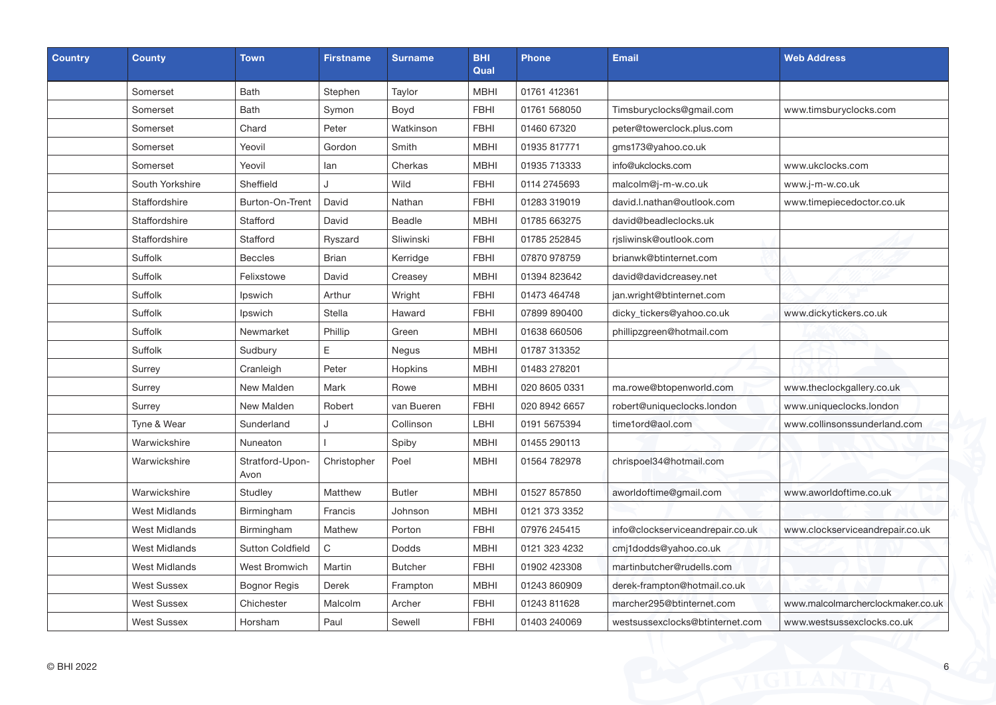| Country | <b>County</b>        | <b>Town</b>             | <b>Firstname</b> | <b>Surname</b> | <b>BHI</b><br>Qual | <b>Phone</b>  | <b>Email</b>                     | <b>Web Address</b>                |
|---------|----------------------|-------------------------|------------------|----------------|--------------------|---------------|----------------------------------|-----------------------------------|
|         | Somerset             | <b>Bath</b>             | Stephen          | Taylor         | <b>MBHI</b>        | 01761 412361  |                                  |                                   |
|         | Somerset             | <b>Bath</b>             | Symon            | Boyd           | <b>FBHI</b>        | 01761 568050  | Timsburyclocks@gmail.com         | www.timsburyclocks.com            |
|         | Somerset             | Chard                   | Peter            | Watkinson      | <b>FBHI</b>        | 01460 67320   | peter@towerclock.plus.com        |                                   |
|         | Somerset             | Yeovil                  | Gordon           | Smith          | <b>MBHI</b>        | 01935 817771  | gms173@yahoo.co.uk               |                                   |
|         | Somerset             | Yeovil                  | lan              | Cherkas        | <b>MBHI</b>        | 01935 713333  | info@ukclocks.com                | www.ukclocks.com                  |
|         | South Yorkshire      | Sheffield               | J                | Wild           | <b>FBHI</b>        | 0114 2745693  | malcolm@j-m-w.co.uk              | www.j-m-w.co.uk                   |
|         | Staffordshire        | Burton-On-Trent         | David            | Nathan         | <b>FBHI</b>        | 01283 319019  | david.l.nathan@outlook.com       | www.timepiecedoctor.co.uk         |
|         | Staffordshire        | Stafford                | David            | Beadle         | <b>MBHI</b>        | 01785 663275  | david@beadleclocks.uk            |                                   |
|         | Staffordshire        | Stafford                | Ryszard          | Sliwinski      | <b>FBHI</b>        | 01785 252845  | risliwinsk@outlook.com           |                                   |
|         | Suffolk              | <b>Beccles</b>          | Brian            | Kerridge       | <b>FBHI</b>        | 07870 978759  | brianwk@btinternet.com           |                                   |
|         | Suffolk              | Felixstowe              | David            | Creasey        | <b>MBHI</b>        | 01394 823642  | david@davidcreasey.net           |                                   |
|         | Suffolk              | Ipswich                 | Arthur           | Wright         | <b>FBHI</b>        | 01473 464748  | jan.wright@btinternet.com        |                                   |
|         | Suffolk              | Ipswich                 | Stella           | Haward         | <b>FBHI</b>        | 07899 890400  | dicky_tickers@yahoo.co.uk        | www.dickytickers.co.uk            |
|         | Suffolk              | Newmarket               | Phillip          | Green          | <b>MBHI</b>        | 01638 660506  | phillipzgreen@hotmail.com        |                                   |
|         | Suffolk              | Sudbury                 | Ε                | Negus          | <b>MBHI</b>        | 01787 313352  |                                  |                                   |
|         | Surrey               | Cranleigh               | Peter            | Hopkins        | <b>MBHI</b>        | 01483 278201  |                                  |                                   |
|         | Surrey               | New Malden              | Mark             | Rowe           | <b>MBHI</b>        | 020 8605 0331 | ma.rowe@btopenworld.com          | www.theclockgallery.co.uk         |
|         | Surrey               | New Malden              | Robert           | van Bueren     | <b>FBHI</b>        | 020 8942 6657 | robert@uniqueclocks.london       | www.uniqueclocks.london           |
|         | Tyne & Wear          | Sunderland              | $\cdot$          | Collinson      | LBHI               | 0191 5675394  | time1ord@aol.com                 | www.collinsonssunderland.com      |
|         | Warwickshire         | Nuneaton                |                  | Spiby          | <b>MBHI</b>        | 01455 290113  |                                  |                                   |
|         | Warwickshire         | Stratford-Upon-<br>Avon | Christopher      | Poel           | <b>MBHI</b>        | 01564 782978  | chrispoel34@hotmail.com          |                                   |
|         | Warwickshire         | Studley                 | Matthew          | <b>Butler</b>  | <b>MBHI</b>        | 01527 857850  | aworldoftime@gmail.com           | www.aworldoftime.co.uk            |
|         | <b>West Midlands</b> | Birmingham              | Francis          | Johnson        | <b>MBHI</b>        | 0121 373 3352 |                                  |                                   |
|         | West Midlands        | Birmingham              | Mathew           | Porton         | <b>FBHI</b>        | 07976 245415  | info@clockserviceandrepair.co.uk | www.clockserviceandrepair.co.uk   |
|         | <b>West Midlands</b> | <b>Sutton Coldfield</b> | C                | Dodds          | <b>MBHI</b>        | 0121 323 4232 | cmj1dodds@yahoo.co.uk            |                                   |
|         | West Midlands        | West Bromwich           | Martin           | <b>Butcher</b> | <b>FBHI</b>        | 01902 423308  | martinbutcher@rudells.com        |                                   |
|         | <b>West Sussex</b>   | <b>Bognor Regis</b>     | Derek            | Frampton       | <b>MBHI</b>        | 01243 860909  | derek-frampton@hotmail.co.uk     |                                   |
|         | <b>West Sussex</b>   | Chichester              | Malcolm          | Archer         | <b>FBHI</b>        | 01243 811628  | marcher295@btinternet.com        | www.malcolmarcherclockmaker.co.uk |
|         | <b>West Sussex</b>   | Horsham                 | Paul             | Sewell         | <b>FBHI</b>        | 01403 240069  | westsussexclocks@btinternet.com  | www.westsussexclocks.co.uk        |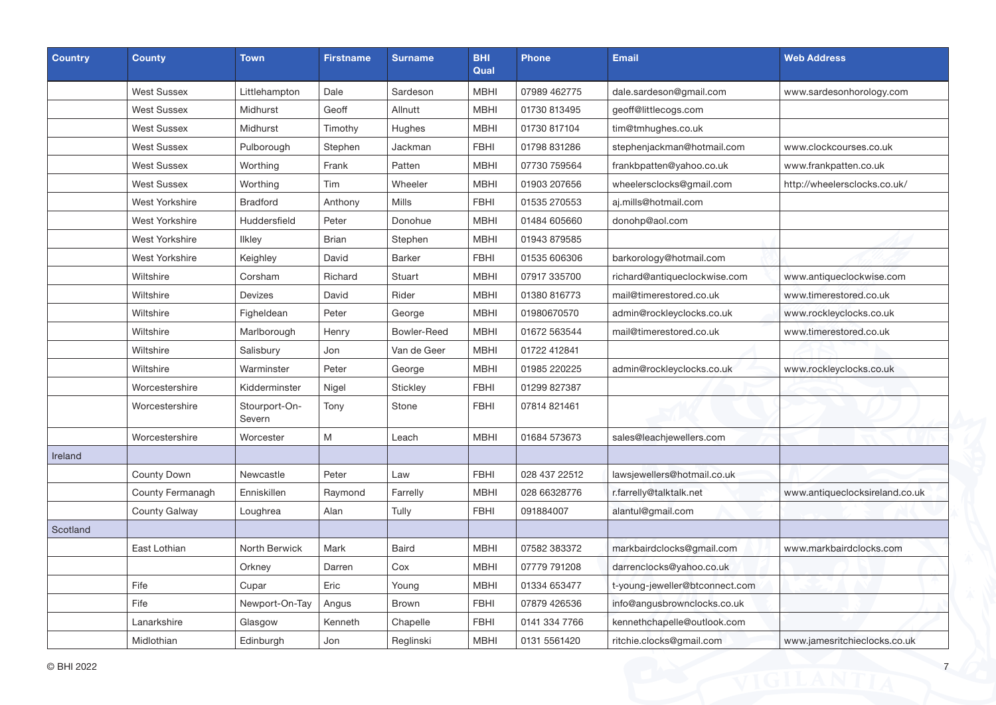| <b>Country</b> | <b>County</b>         | <b>Town</b>             | <b>Firstname</b> | <b>Surname</b>     | <b>BHI</b><br>Qual | <b>Phone</b>  | <b>Email</b>                   | <b>Web Address</b>             |
|----------------|-----------------------|-------------------------|------------------|--------------------|--------------------|---------------|--------------------------------|--------------------------------|
|                | <b>West Sussex</b>    | Littlehampton           | Dale             | Sardeson           | <b>MBHI</b>        | 07989 462775  | dale.sardeson@gmail.com        | www.sardesonhorology.com       |
|                | <b>West Sussex</b>    | Midhurst                | Geoff            | Allnutt            | <b>MBHI</b>        | 01730 813495  | geoff@littlecogs.com           |                                |
|                | <b>West Sussex</b>    | Midhurst                | Timothy          | Hughes             | <b>MBHI</b>        | 01730 817104  | tim@tmhughes.co.uk             |                                |
|                | <b>West Sussex</b>    | Pulborough              | Stephen          | Jackman            | <b>FBHI</b>        | 01798 831286  | stephenjackman@hotmail.com     | www.clockcourses.co.uk         |
|                | <b>West Sussex</b>    | Worthing                | Frank            | Patten             | <b>MBHI</b>        | 07730 759564  | frankbpatten@yahoo.co.uk       | www.frankpatten.co.uk          |
|                | <b>West Sussex</b>    | Worthing                | Tim              | Wheeler            | <b>MBHI</b>        | 01903 207656  | wheelersclocks@gmail.com       | http://wheelersclocks.co.uk/   |
|                | <b>West Yorkshire</b> | <b>Bradford</b>         | Anthony          | <b>Mills</b>       | <b>FBHI</b>        | 01535 270553  | aj.mills@hotmail.com           |                                |
|                | <b>West Yorkshire</b> | Huddersfield            | Peter            | Donohue            | <b>MBHI</b>        | 01484 605660  | donohp@aol.com                 |                                |
|                | West Yorkshire        | <b>Ilkley</b>           | <b>Brian</b>     | Stephen            | MBHI               | 01943 879585  |                                |                                |
|                | <b>West Yorkshire</b> | Keighley                | David            | <b>Barker</b>      | <b>FBHI</b>        | 01535 606306  | barkorology@hotmail.com        |                                |
|                | Wiltshire             | Corsham                 | Richard          | Stuart             | <b>MBHI</b>        | 07917 335700  | richard@antiqueclockwise.com   | www.antiqueclockwise.com       |
|                | Wiltshire             | Devizes                 | David            | Rider              | <b>MBHI</b>        | 01380 816773  | mail@timerestored.co.uk        | www.timerestored.co.uk         |
|                | Wiltshire             | Figheldean              | Peter            | George             | <b>MBHI</b>        | 01980670570   | admin@rockleyclocks.co.uk      | www.rockleyclocks.co.uk        |
|                | Wiltshire             | Marlborough             | Henry            | <b>Bowler-Reed</b> | <b>MBHI</b>        | 01672 563544  | mail@timerestored.co.uk        | www.timerestored.co.uk         |
|                | Wiltshire             | Salisbury               | Jon              | Van de Geer        | MBHI               | 01722 412841  |                                |                                |
|                | Wiltshire             | Warminster              | Peter            | George             | <b>MBHI</b>        | 01985 220225  | admin@rockleyclocks.co.uk      | www.rockleyclocks.co.uk        |
|                | Worcestershire        | Kidderminster           | Nigel            | Stickley           | <b>FBHI</b>        | 01299 827387  |                                |                                |
|                | Worcestershire        | Stourport-On-<br>Severn | Tony             | Stone              | <b>FBHI</b>        | 07814 821461  |                                | $\sim$                         |
|                | Worcestershire        | Worcester               | M                | Leach              | <b>MBHI</b>        | 01684 573673  | sales@leachjewellers.com       |                                |
| Ireland        |                       |                         |                  |                    |                    |               |                                |                                |
|                | County Down           | Newcastle               | Peter            | Law                | <b>FBHI</b>        | 028 437 22512 | lawsjewellers@hotmail.co.uk    |                                |
|                | County Fermanagh      | Enniskillen             | Raymond          | Farrelly           | <b>MBHI</b>        | 028 66328776  | r.farrelly@talktalk.net        | www.antiqueclocksireland.co.uk |
|                | County Galway         | Loughrea                | Alan             | Tully              | <b>FBHI</b>        | 091884007     | alantul@gmail.com              |                                |
| Scotland       |                       |                         |                  |                    |                    |               |                                |                                |
|                | East Lothian          | North Berwick           | Mark             | <b>Baird</b>       | <b>MBHI</b>        | 07582 383372  | markbairdclocks@gmail.com      | www.markbairdclocks.com        |
|                |                       | Orkney                  | Darren           | Cox                | <b>MBHI</b>        | 07779 791208  | darrenclocks@yahoo.co.uk       |                                |
|                | Fife                  | Cupar                   | Eric             | Young              | <b>MBHI</b>        | 01334 653477  | t-young-jeweller@btconnect.com |                                |
|                | Fife                  | Newport-On-Tay          | Angus            | <b>Brown</b>       | <b>FBHI</b>        | 07879 426536  | info@angusbrownclocks.co.uk    |                                |
|                | Lanarkshire           | Glasgow                 | Kenneth          | Chapelle           | <b>FBHI</b>        | 0141 334 7766 | kennethchapelle@outlook.com    |                                |
|                | Midlothian            | Edinburgh               | Jon              | Reglinski          | MBHI               | 0131 5561420  | ritchie.clocks@gmail.com       | www.jamesritchieclocks.co.uk   |